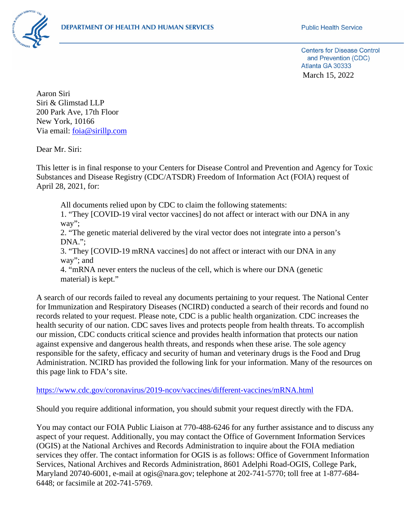

**Centers for Disease Control** and Prevention (CDC) Atlanta GA 30333 March 15, 2022

Aaron Siri Siri & Glimstad LLP 200 Park Ave, 17th Floor New York, 10166 Via email: [foia@sirillp.com](mailto:foia@sirillp.com)

Dear Mr. Siri:

This letter is in final response to your Centers for Disease Control and Prevention and Agency for Toxic Substances and Disease Registry (CDC/ATSDR) Freedom of Information Act (FOIA) request of April 28, 2021, for:

All documents relied upon by CDC to claim the following statements:

1. "They [COVID-19 viral vector vaccines] do not affect or interact with our DNA in any way";

2. "The genetic material delivered by the viral vector does not integrate into a person's DNA.";

3. "They [COVID-19 mRNA vaccines] do not affect or interact with our DNA in any way"; and

4. "mRNA never enters the nucleus of the cell, which is where our DNA (genetic material) is kept."

A search of our records failed to reveal any documents pertaining to your request. The National Center for Immunization and Respiratory Diseases (NCIRD) conducted a search of their records and found no records related to your request. Please note, CDC is a public health organization. CDC increases the health security of our nation. CDC saves lives and protects people from health threats. To accomplish our mission, CDC conducts critical science and provides health information that protects our nation against expensive and dangerous health threats, and responds when these arise. The sole agency responsible for the safety, efficacy and security of human and veterinary drugs is the Food and Drug Administration. NCIRD has provided the following link for your information. Many of the resources on this page link to FDA's site.

## <https://www.cdc.gov/coronavirus/2019-ncov/vaccines/different-vaccines/mRNA.html>

Should you require additional information, you should submit your request directly with the FDA.

You may contact our FOIA Public Liaison at 770-488-6246 for any further assistance and to discuss any aspect of your request. Additionally, you may contact the Office of Government Information Services (OGIS) at the National Archives and Records Administration to inquire about the FOIA mediation services they offer. The contact information for OGIS is as follows: Office of Government Information Services, National Archives and Records Administration, 8601 Adelphi Road-OGIS, College Park, Maryland 20740-6001, e-mail at ogis@nara.gov; telephone at 202-741-5770; toll free at 1-877-684- 6448; or facsimile at 202-741-5769.